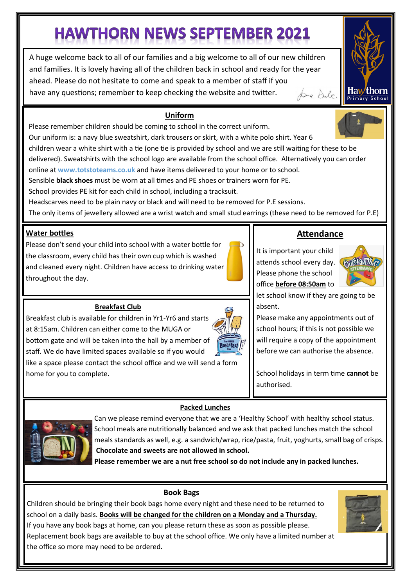# **HAWTHORN NEWS SEPTEMBER 2021**

A huge welcome back to all of our families and a big welcome to all of our new children and families. It is lovely having all of the children back in school and ready for the year ahead. Please do not hesitate to come and speak to a member of staff if you have any questions; remember to keep checking the website and twitter. page dule.



Please remember children should be coming to school in the correct uniform.

Our uniform is: a navy blue sweatshirt, dark trousers or skirt, with a white polo shirt. Year 6

children wear a white shirt with a tie (one tie is provided by school and we are still waiting for these to be delivered). Sweatshirts with the school logo are available from the school office. Alternatively you can order online at **www.totstoteams.co.uk** and have items delivered to your home or to school.

Sensible **black shoes** must be worn at all times and PE shoes or trainers worn for PE.

School provides PE kit for each child in school, including a tracksuit.

Headscarves need to be plain navy or black and will need to be removed for P.E sessions.

The only items of jewellery allowed are a wrist watch and small stud earrings (these need to be removed for P.E)

### **Water bottles**

Please don't send your child into school with a water bottle for the classroom, every child has their own cup which is washed and cleaned every night. Children have access to drinking water throughout the day.

#### **Breakfast Club**

Breakfast club is available for children in Yr1-Yr6 and starts at 8:15am. Children can either come to the MUGA or bottom gate and will be taken into the hall by a member of staff. We do have limited spaces available so if you would like a space please contact the school office and we will send a form home for you to complete.

# **Attendance**

It is important your child attends school every day. Please phone the school office **before 08:50am** to



na

rimary School

let school know if they are going to be absent.

Please make any appointments out of school hours; if this is not possible we will require a copy of the appointment before we can authorise the absence.

School holidays in term time **cannot** be authorised.



Can we please remind everyone that we are a 'Healthy School' with healthy school status. School meals are nutritionally balanced and we ask that packed lunches match the school meals standards as well, e.g. a sandwich/wrap, rice/pasta, fruit, yoghurts, small bag of crisps. **Chocolate and sweets are not allowed in school.**

**Please remember we are a nut free school so do not include any in packed lunches.**

**Packed Lunches**

#### **Book Bags**

Children should be bringing their book bags home every night and these need to be returned to school on a daily basis. **Books will be changed for the children on a Monday and a Thursday.** 

If you have any book bags at home, can you please return these as soon as possible please. Replacement book bags are available to buy at the school office. We only have a limited number at the office so more may need to be ordered.